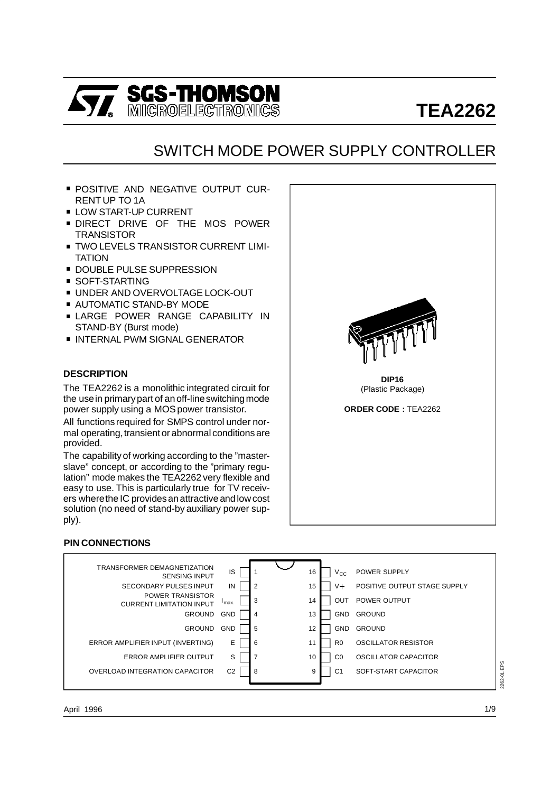

# **TEA2262**

# SWITCH MODE POWER SUPPLY CONTROLLER

- **POSITIVE AND NEGATIVE OUTPUT CUR-**RENT UP TO 1A
- **LOW START-UP CURRENT**
- . DIRECT DRIVE OF THE MOS POWER **TRANSISTOR**
- **TWO LEVELS TRANSISTOR CURRENT LIMI-**TATION ■ TWO LEVELS TRANSISTOR CUR<br>TATION<br>■ DOUBLE PULSE SUPPRESSION
- TATION<br>■ DOUBLE PULSE<br>■ SOFT-STARTING
- 
- DOUBLE PULSE SUPPRESSION<br>■ SOFT-STARTING<br>■ UNDER AND OVERVOLTAGE LOCK-OUT ■ SOFT-STARTING<br>■ UNDER AND OVERVOLTAGE L<br>■ AUTOMATIC STAND-BY MODE
- 
- AUTOMATIC STAND-BY MODE<br>■ LARGE POWER RANGE CAPABILITY IN STAND-BY (Burst mode)
- **INTERNAL PWM SIGNAL GENERATOR**

#### **DESCRIPTION**

The TEA2262 is a monolithic integrated circuit for the usein primarypart of anoff-lineswitching mode power supply using a MOS power transistor.

All functions required for SMPS control under normal operating, transient or abnormal conditions are provided.

The capability of working according to the "masterslave" concept, or according to the "primary regulation" mode makes the TEA2262 very flexible and easy to use. This is particularly true for TV receivers wherethe IC providesanattractive andlow cost solution (no need of stand-by auxiliary power supply).

#### **PIN CONNECTIONS**





**DIP16** (Plastic Package)

**ORDER CODE :** TEA2262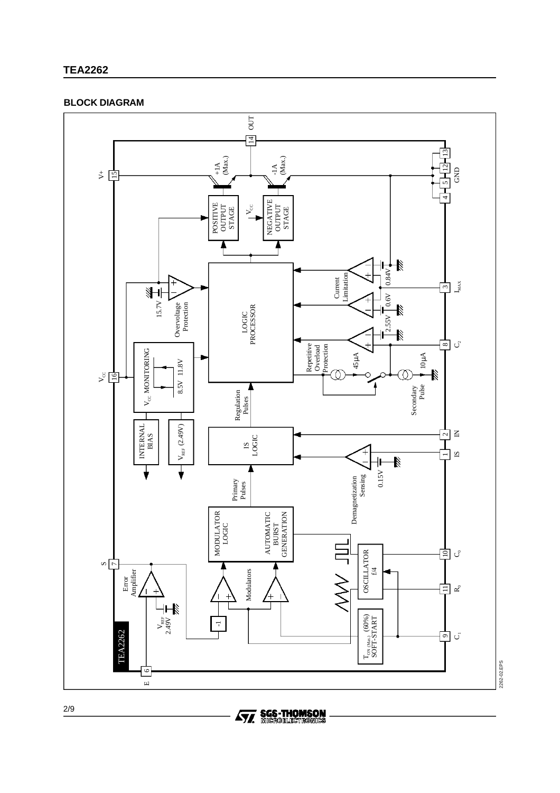# **TEA2262**

# **BLOCK DIAGRAM**



**Ay, SGS-THOMSON**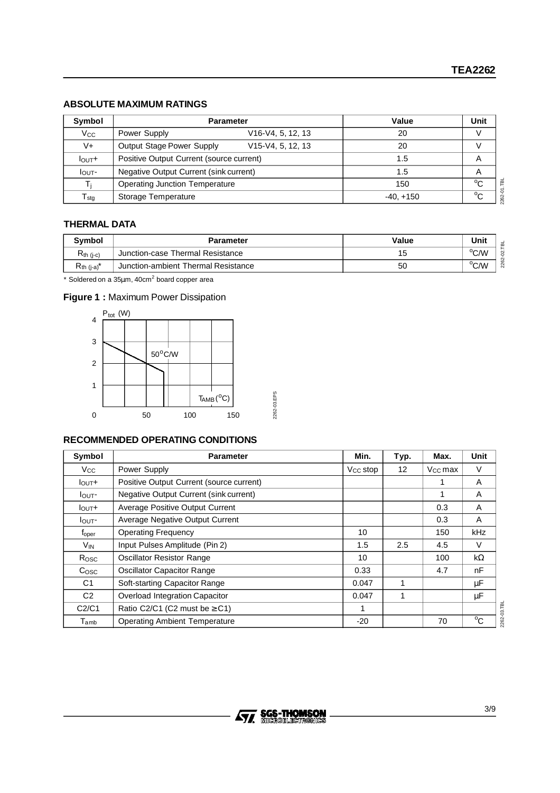# **ABSOLUTE MAXIMUM RATINGS**

| Symbol                    | <b>Parameter</b>                                            | Value       | Unit         |
|---------------------------|-------------------------------------------------------------|-------------|--------------|
| $V_{\rm CC}$              | V <sub>16</sub> -V <sub>4</sub> , 5, 12, 13<br>Power Supply | 20          |              |
| $V +$                     | <b>Output Stage Power Supply</b><br>V15-V4, 5, 12, 13       | 20          |              |
| I <sub>OUT</sub>          | Positive Output Current (source current)                    | 1.5         | A            |
| I <sub>OUT</sub>          | Negative Output Current (sink current)                      | 1.5         | A            |
|                           | <b>Operating Junction Temperature</b>                       | 150         | $^{\circ}$ C |
| $\mathsf{T}_{\text{stg}}$ | Storage Temperature                                         | $-40. +150$ | $^{\circ}$ C |

# **THERMAL DATA**

| <b>Symbol</b>               | Parameter                           | Value | Unit | ⋒   |
|-----------------------------|-------------------------------------|-------|------|-----|
| $R_{th (i-c)}$              | Junction-case Thermal Resistance    | 15    | °C/W | ട   |
| $R_{th}$ (j-a) <sup>*</sup> | Junction-ambient Thermal Resistance | 50    | °C/W | 226 |

 $*$  Soldered on a 35 $\mu$ m, 40cm $^2$  board copper area

# **Figure 1 :** Maximum Power Dissipation



# **RECOMMENDED OPERATING CONDITIONS**

| Symbol                      | <b>Parameter</b>                         | Min.                 | Typ.        | Max.                | Unit         |
|-----------------------------|------------------------------------------|----------------------|-------------|---------------------|--------------|
| Vcc.                        | Power Supply                             | V <sub>cc</sub> stop | 12          | V <sub>cc</sub> max | V            |
| $I_{\text{OUT}}+$           | Positive Output Current (source current) |                      |             |                     | A            |
| $I_{\text{OUT}}$            | Negative Output Current (sink current)   |                      |             | 1                   | A            |
| I <sub>OUT</sub>            | Average Positive Output Current          |                      |             | 0.3                 | A            |
| l <sub>OUT</sub> -          | Average Negative Output Current          |                      |             | 0.3                 | A            |
| $t_{\rm oper}$              | <b>Operating Frequency</b>               | 10                   |             | 150                 | kHz          |
| V <sub>IN</sub>             | Input Pulses Amplitude (Pin 2)           | 1.5                  | 2.5         | 4.5                 | V            |
| Rosc                        | <b>Oscillator Resistor Range</b>         | 10                   |             | 100                 | $k\Omega$    |
| C <sub>OSC</sub>            | <b>Oscillator Capacitor Range</b>        | 0.33                 |             | 4.7                 | nF           |
| C1                          | Soft-starting Capacitor Range            | 0.047                | 1           |                     | μF           |
| C2                          | Overload Integration Capacitor           | 0.047                | $\mathbf 1$ |                     | μF           |
| C2/C1                       | Ratio C2/C1 (C2 must be $\geq$ C1)       | 1                    |             |                     |              |
| $\mathsf{T}_{\mathsf{amb}}$ | <b>Operating Ambient Temperature</b>     | $-20$                |             | 70                  | $^{\circ}$ C |

2262-03.TBL 2262-03.TBL

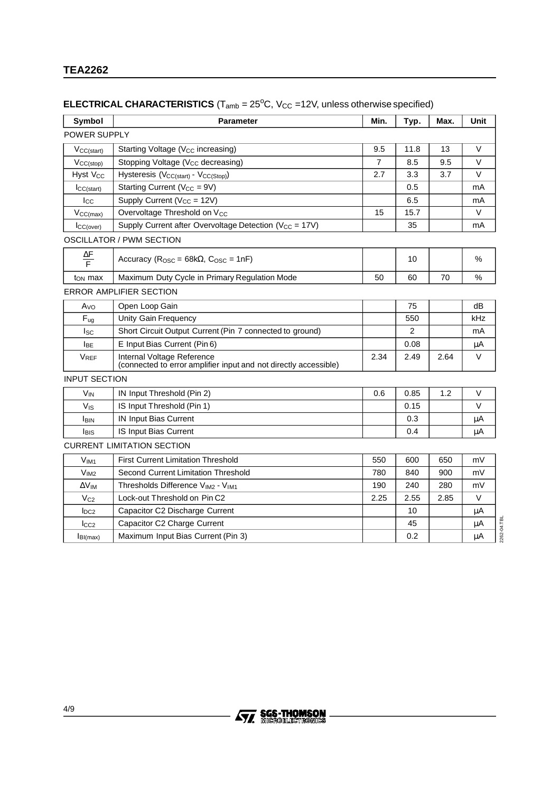# **ELECTRICAL CHARACTERISTICS** ( $T_{amb} = 25^{\circ}$ C,  $V_{CC} = 12V$ , unless otherwise specified)

| Symbol                | <b>Parameter</b>                                                                               | Min.           | Typ. | Max. | Unit   |  |
|-----------------------|------------------------------------------------------------------------------------------------|----------------|------|------|--------|--|
| POWER SUPPLY          |                                                                                                |                |      |      |        |  |
| $V_{CC(stat)}$        | Starting Voltage (V <sub>CC</sub> increasing)                                                  | 9.5            | 11.8 | 13   | $\vee$ |  |
| $VCC(\text{stop})$    | Stopping Voltage (Vcc decreasing)                                                              | $\overline{7}$ | 8.5  | 9.5  | $\vee$ |  |
| Hyst V <sub>CC</sub>  | Hysteresis (V <sub>CC(start)</sub> - V <sub>CC(Stop)</sub> )                                   | 2.7            | 3.3  | 3.7  | $\vee$ |  |
| ICC(start)            | Starting Current ( $V_{CC} = 9V$ )                                                             |                | 0.5  |      | mA     |  |
| $_{\text{Lcc}}$       | Supply Current (V <sub>CC</sub> = 12V)                                                         |                | 6.5  |      | mA     |  |
| $V_{CC(max)}$         | Overvoltage Threshold on V <sub>CC</sub>                                                       | 15             | 15.7 |      | V      |  |
| ICC(over)             | Supply Current after Overvoltage Detection (V <sub>CC</sub> = 17V)                             |                | 35   |      | mA     |  |
|                       | <b>OSCILLATOR / PWM SECTION</b>                                                                |                |      |      |        |  |
| $\frac{\Delta F}{F}$  | Accuracy ( $R_{\text{OSC}} = 68k\Omega$ , $C_{\text{OSC}} = 1nF$ )                             | 10             |      | $\%$ |        |  |
| $t_{ON}$ max          | 70<br>Maximum Duty Cycle in Primary Regulation Mode<br>50<br>60                                |                |      |      |        |  |
|                       | <b>ERROR AMPLIFIER SECTION</b>                                                                 |                |      |      |        |  |
| Avo                   | Open Loop Gain                                                                                 |                | 75   |      | dB     |  |
| $F_{ug}$              | <b>Unity Gain Frequency</b>                                                                    |                | 550  |      | kHz    |  |
| $I_{SC}$              | Short Circuit Output Current (Pin 7 connected to ground)                                       |                | 2    |      | mA     |  |
| <b>I</b> BE           | E Input Bias Current (Pin 6)                                                                   |                | 0.08 |      | μA     |  |
| <b>VREF</b>           | Internal Voltage Reference<br>(connected to error amplifier input and not directly accessible) | 2.34           | 2.49 | 2.64 | V      |  |
| <b>INPUT SECTION</b>  |                                                                                                |                |      |      |        |  |
| <b>V<sub>IN</sub></b> | IN Input Threshold (Pin 2)                                                                     | 0.6            |      | 1.2  | $\vee$ |  |
| $V_{\text{IS}}$       | IS Input Threshold (Pin 1)                                                                     | 0.15           |      |      | $\vee$ |  |
| <b>I</b> BIN          | IN Input Bias Current                                                                          |                | 0.3  |      | μA     |  |
| <b>I</b> BIS          | IS Input Bias Current                                                                          |                | μA   |      |        |  |
|                       | <b>CURRENT LIMITATION SECTION</b>                                                              |                |      |      |        |  |
| $V_{IM1}$             | <b>First Current Limitation Threshold</b>                                                      | 550<br>600     |      | 650  | mV     |  |
| V <sub>IM2</sub>      | Second Current Limitation Threshold                                                            | 780            | 840  | 900  | mV     |  |
| $\Delta V_{IM}$       | Thresholds Difference VIM2 - VIM1                                                              | 190<br>240     |      | 280  | mV     |  |
| $V_{C2}$              | Lock-out Threshold on Pin C2                                                                   | 2.25           | 2.55 | 2.85 | $\vee$ |  |
| $I_{DC2}$             | Capacitor C2 Discharge Current                                                                 |                | 10   |      | μA     |  |
| $I_{CC2}$             | Capacitor C2 Charge Current                                                                    |                | 45   |      | μA     |  |
| $I_{BI(max)}$         | Maximum Input Bias Current (Pin 3)                                                             |                | 0.2  |      | μA     |  |

2262-04.TBL 2262-04.TBL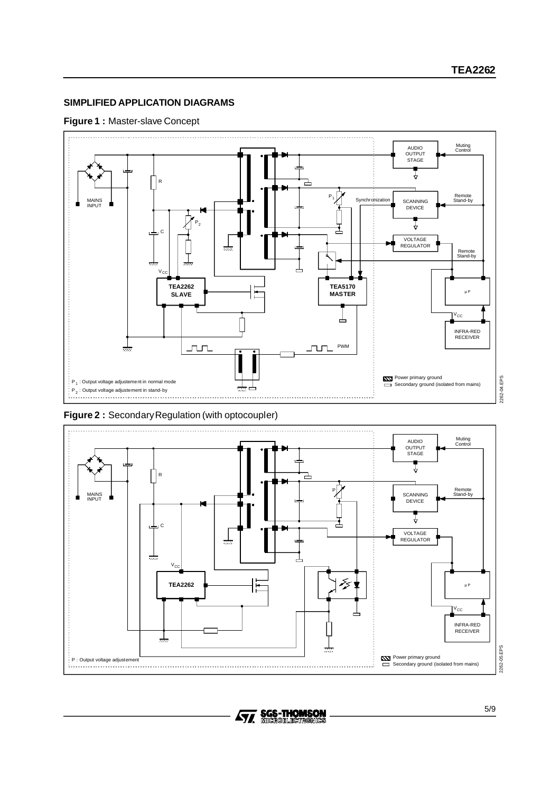# **SIMPLIFIED APPLICATION DIAGRAMS**

#### **Figure 1 :** Master-slave Concept



Figure 2 : Secondary Regulation (with optocoupler)



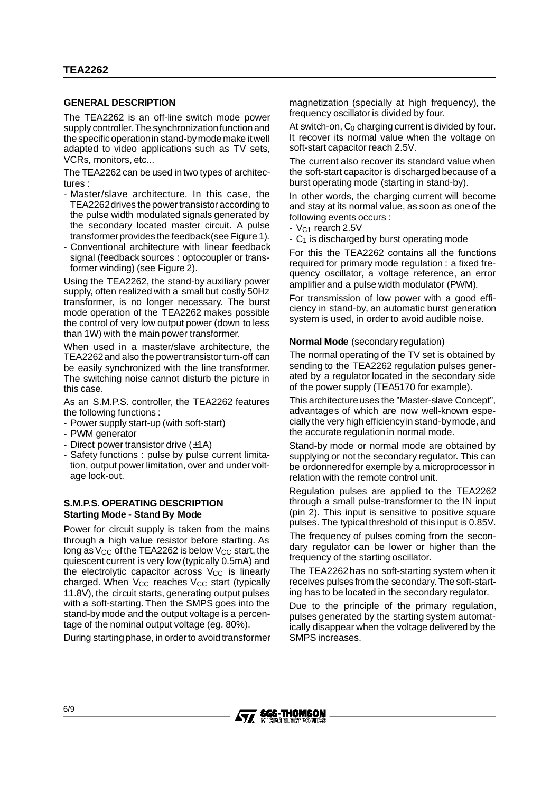#### **GENERAL DESCRIPTION**

The TEA2262 is an off-line switch mode power supply controller. The synchronization function and the specificoperationin stand-bymodemake itwell adapted to video applications such as TV sets, VCRs, monitors, etc...

The TEA2262 can be used in two types of architectures :

- Master/slave architecture. In this case, the TEA2262drives the powertransistor according to the pulse width modulated signals generated by the secondary located master circuit. A pulse transformerprovides the feedback(see Figure 1).
- Conventional architecture with linear feedback signal (feedback sources : optocoupler or transformer winding) (see Figure 2).

Using the TEA2262, the stand-by auxiliary power supply, often realized with a small but costly 50Hz transformer, is no longer necessary. The burst mode operation of the TEA2262 makes possible the control of very low output power (down to less than 1W) with the main power transformer.

When used in a master/slave architecture, the TEA2262 and also the power transistor turn-off can be easily synchronized with the line transformer. The switching noise cannot disturb the picture in this case.

As an S.M.P.S. controller, the TEA2262 features the following functions :

- Power supply start-up (with soft-start)
- PWM generator
- Direct power transistor drive  $(\pm 1A)$
- Safety functions : pulse by pulse current limitation, output power limitation, over and undervoltage lock-out.

#### **S.M.P.S. OPERATING DESCRIPTION Starting Mode - Stand By Mode**

Power for circuit supply is taken from the mains through a high value resistor before starting. As long as  $V_{CC}$  of the TEA2262 is below  $V_{CC}$  start, the quiescent current is very low (typically 0.5mA) and the electrolytic capacitor across  $V_{CC}$  is linearly charged. When  $V_{CC}$  reaches  $V_{CC}$  start (typically 11.8V), the circuit starts, generating output pulses with a soft-starting. Then the SMPS goes into the stand-by mode and the output voltage is a percentage of the nominal output voltage (eg. 80%).

During startingphase, in orderto avoid transformer

magnetization (specially at high frequency), the frequency oscillator is divided by four.

At switch-on,  $C_0$  charging current is divided by four. It recover its normal value when the voltage on soft-start capacitor reach 2.5V.

The current also recover its standard value when the soft-start capacitor is discharged because of a burst operating mode (starting in stand-by).

In other words, the charging current will become and stay at its normal value, as soon as one of the following events occurs :

- VC1 rearch 2.5V
- $-$  C<sub>1</sub> is discharged by burst operating mode

For this the TEA2262 contains all the functions required for primary mode regulation : a fixed frequency oscillator, a voltage reference, an error amplifier and a pulse width modulator (PWM).

For transmission of low power with a good efficiency in stand-by, an automatic burst generation system is used, in order to avoid audible noise.

#### **Normal Mode** (secondary regulation)

The normal operating of the TV set is obtained by sending to the TEA2262 regulation pulses generated by a regulator located in the secondary side of the power supply (TEA5170 for example).

This architecture uses the "Master-slave Concept", advantages of which are now well-known especiallythe very high efficiency in stand-bymode, and the accurate regulation in normal mode.

Stand-by mode or normal mode are obtained by supplying or not the secondary regulator. This can be ordonneredfor exemple by a microprocessor in relation with the remote control unit.

Regulation pulses are applied to the TEA2262 through a small pulse-transformer to the IN input (pin 2). This input is sensitive to positive square pulses. The typical threshold of this input is 0.85V.

The frequency of pulses coming from the secondary regulator can be lower or higher than the frequency of the starting oscillator.

The TEA2262 has no soft-starting system when it receives pulses from the secondary. The soft-starting has to be located in the secondary regulator.

Due to the principle of the primary regulation, pulses generated by the starting system automatically disappear when the voltage delivered by the SMPS increases.

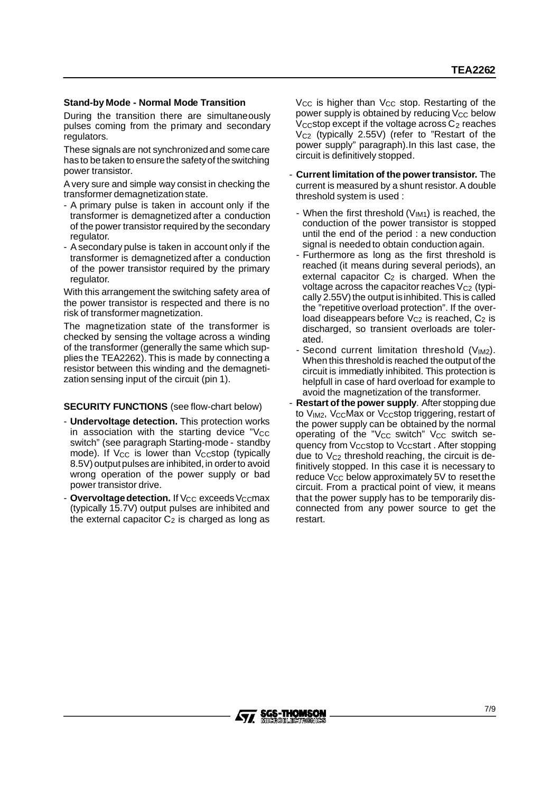#### **Stand-by Mode - Normal Mode Transition**

During the transition there are simultaneously pulses coming from the primary and secondary regulators.

These signals are not synchronizedand somecare has to be taken to ensure the safety of the switching power transistor.

A very sure and simple way consist in checking the transformer demagnetization state.

- A primary pulse is taken in account only if the transformer is demagnetized after a conduction of the power transistor required by the secondary regulator.
- A secondary pulse is taken in account only if the transformer is demagnetized after a conduction of the power transistor required by the primary regulator.

With this arrangement the switching safety area of the power transistor is respected and there is no risk of transformer magnetization.

The magnetization state of the transformer is checked by sensing the voltage across a winding of the transformer (generally the same which supplies the TEA2262). This is made by connecting a resistor between this winding and the demagnetization sensing input of the circuit (pin 1).

#### **SECURITY FUNCTIONS** (see flow-chart below)

- **Undervoltage detection.** This protection works in association with the starting device  $v_{\text{CC}}$ switch" (see paragraph Starting-mode - standby mode). If V<sub>CC</sub> is lower than V<sub>CC</sub>stop (typically 8.5V) output pulses are inhibited, in orderto avoid wrong operation of the power supply or bad power transistor drive.
- Overvoltage detection. If V<sub>CC</sub> exceeds V<sub>CC</sub>max (typically 15.7V) output pulses are inhibited and the external capacitor  $C_2$  is charged as long as

V<sub>CC</sub> is higher than V<sub>CC</sub> stop. Restarting of the power supply is obtained by reducing  $V_{CC}$  below V<sub>CC</sub> stop except if the voltage across  $C_2$  reaches  $V<sub>C2</sub>$  (typically 2.55V) (refer to "Restart of the power supply" paragraph).In this last case, the circuit is definitively stopped.

- **Current limitation of the power transistor.** The current is measured by a shunt resistor. A double threshold system is used :
	- When the first threshold (VIM1) is reached, the conduction of the power transistor is stopped until the end of the period : a new conduction signal is needed to obtain conduction again.
	- Furthermore as long as the first threshold is reached (it means during several periods), an external capacitor  $C_2$  is charged. When the voltage across the capacitor reaches  $V_{C2}$  (typically  $2.55V$ ) the output is inhibited. This is called the "repetitive overload protection". If the overload diseappears before  $V_{C2}$  is reached,  $C_2$  is discharged, so transient overloads are tolerated.
	- Second current limitation threshold  $(V_{IM2})$ . When this thresholdis reached the output of the circuit is immediatly inhibited. This protection is helpfull in case of hard overload for example to avoid the magnetization of the transformer.
- **Restart of the power supply**. After stopping due to  $V_{IM2}$ ,  $V_{CC}$ Max or  $V_{CC}$ stop triggering, restart of the power supply can be obtained by the normal operating of the "V<sub>CC</sub> switch" V<sub>CC</sub> switch sequency from Vccstop to Vccstart. After stopping due to  $V_{C2}$  threshold reaching, the circuit is definitively stopped. In this case it is necessary to reduce  $V_{CC}$  below approximately 5V to reset the circuit. From a practical point of view, it means that the power supply has to be temporarily disconnected from any power source to get the restart.

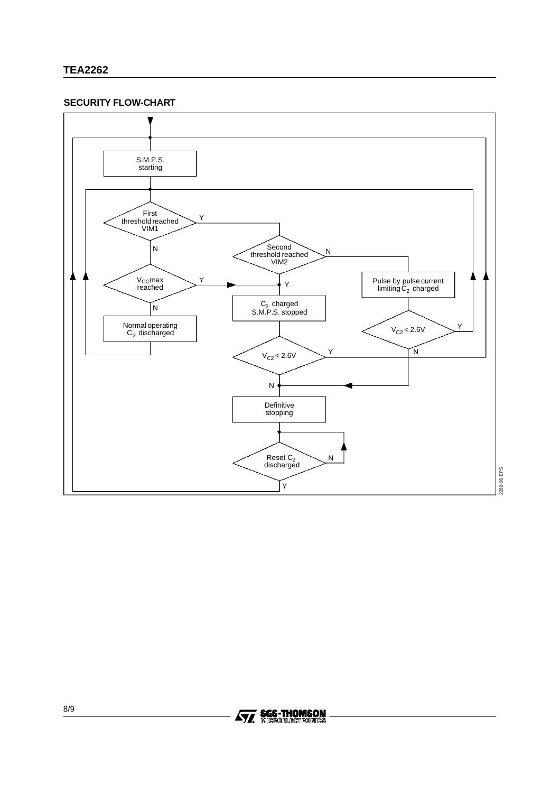# **TEA2262**

#### **SECURITY FLOW-CHART**



2262-06.EPS 2262-06.EPS